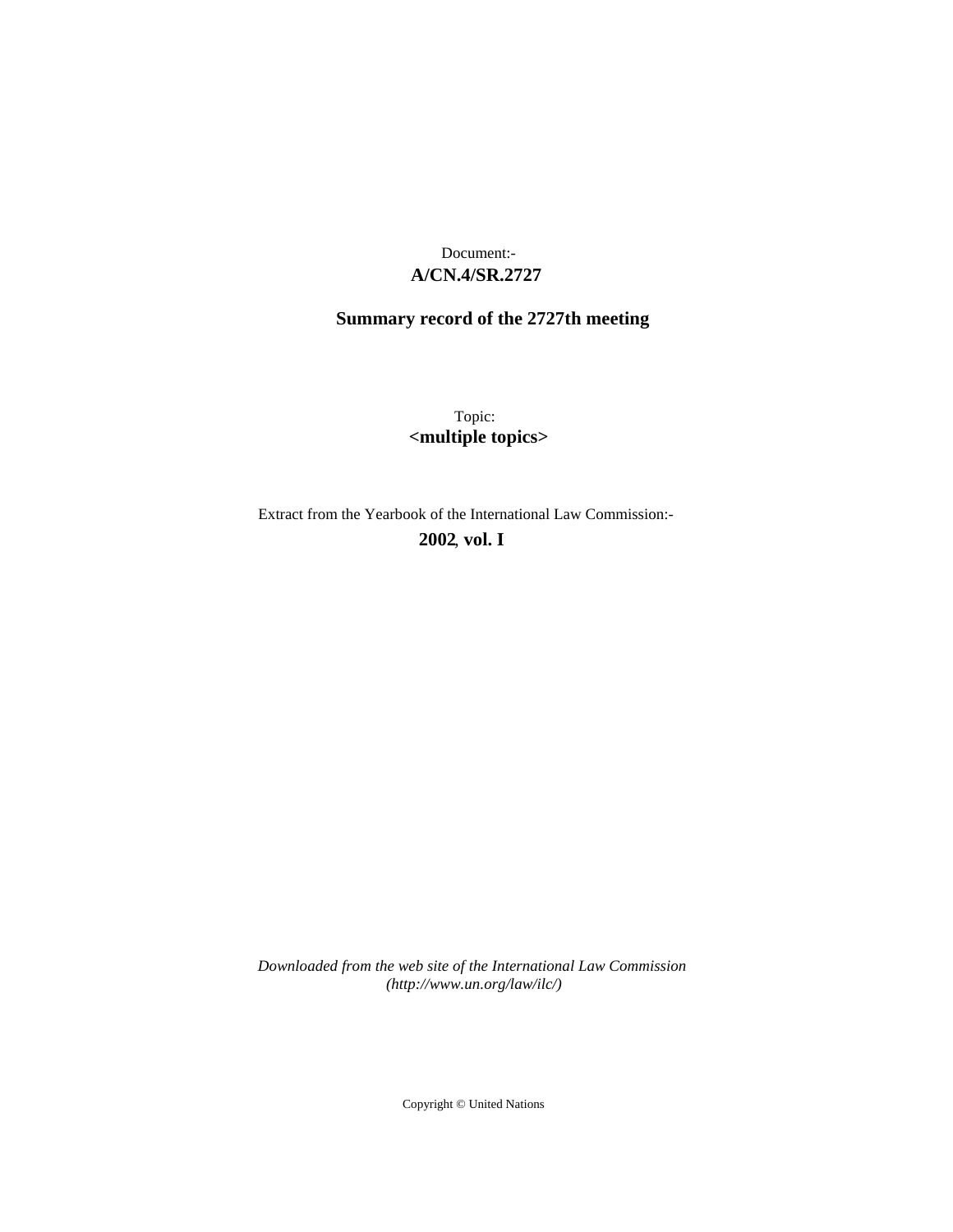# **A/CN.4/SR.2727** Document:-

# **Summary record of the 2727th meeting**

Topic: **<multiple topics>**

Extract from the Yearbook of the International Law Commission:- **2002** , **vol. I**

*Downloaded from the web site of the International Law Commission (http://www.un.org/law/ilc/)*

Copyright © United Nations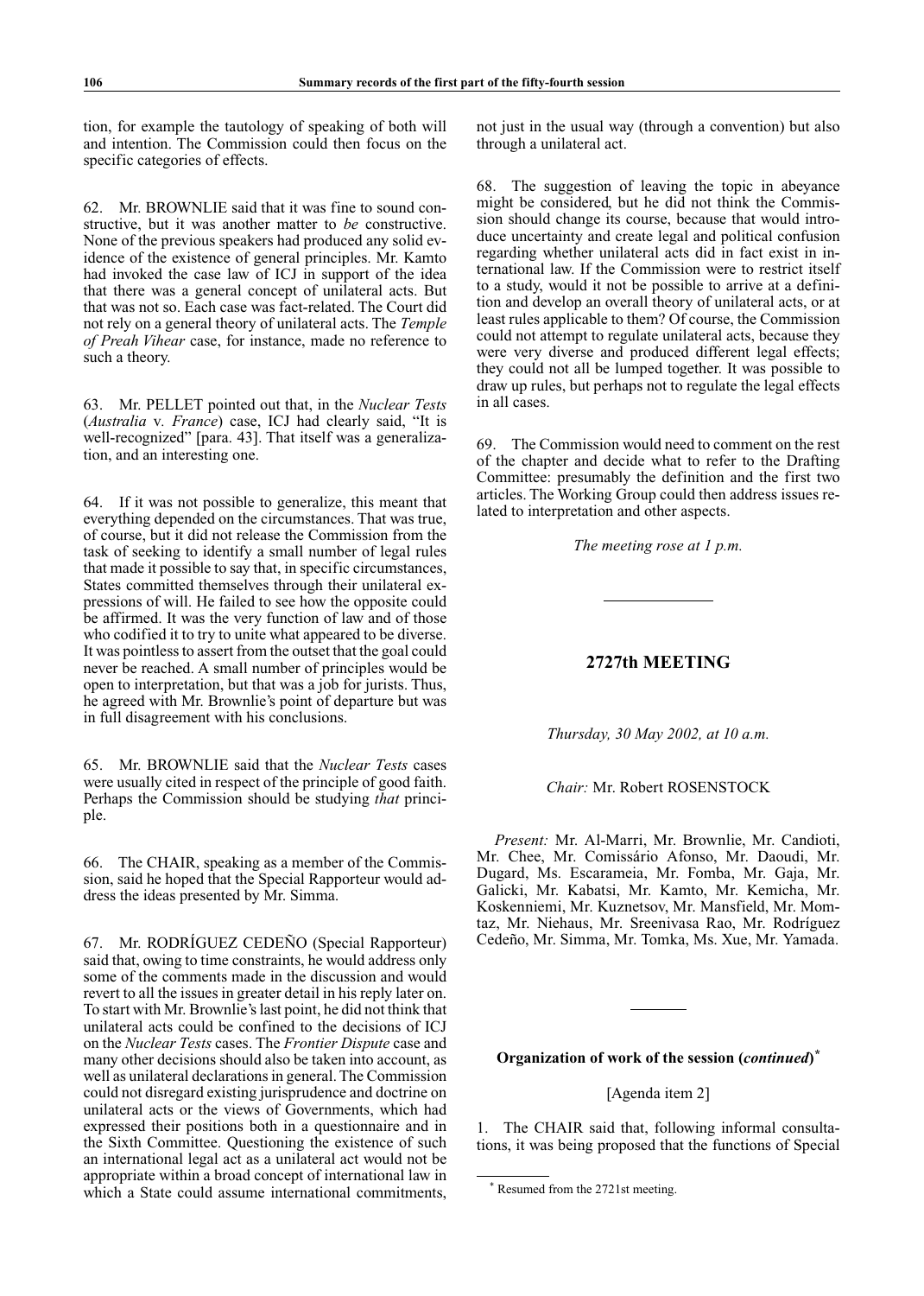tion, for example the tautology of speaking of both will and intention. The Commission could then focus on the specific categories of effects.

62. Mr. BROWNLIE said that it was fine to sound constructive, but it was another matter to *be* constructive. None of the previous speakers had produced any solid evidence of the existence of general principles. Mr. Kamto had invoked the case law of ICJ in support of the idea that there was a general concept of unilateral acts. But that was not so. Each case was fact-related. The Court did not rely on a general theory of unilateral acts. The *Temple of Preah Vihear* case, for instance, made no reference to such a theory.

63. Mr. PELLET pointed out that, in the *Nuclear Tests* (*Australia* v*. France*) case, ICJ had clearly said, "It is well-recognized" [para. 43]. That itself was a generalization, and an interesting one.

64. If it was not possible to generalize, this meant that everything depended on the circumstances. That was true, of course, but it did not release the Commission from the task of seeking to identify a small number of legal rules that made it possible to say that, in specific circumstances, States committed themselves through their unilateral expressions of will. He failed to see how the opposite could be affirmed. It was the very function of law and of those who codified it to try to unite what appeared to be diverse. It was pointless to assert from the outset that the goal could never be reached. A small number of principles would be open to interpretation, but that was a job for jurists. Thus, he agreed with Mr. Brownlie's point of departure but was in full disagreement with his conclusions.

65. Mr. BROWNLIE said that the *Nuclear Tests* cases were usually cited in respect of the principle of good faith. Perhaps the Commission should be studying *that* principle.

66. The CHAIR, speaking as a member of the Commission, said he hoped that the Special Rapporteur would address the ideas presented by Mr. Simma.

67. Mr. RODRÍGUEZ CEDEÑO (Special Rapporteur) said that, owing to time constraints, he would address only some of the comments made in the discussion and would revert to all the issues in greater detail in his reply later on. To start with Mr. Brownlie's last point, he did not think that unilateral acts could be confined to the decisions of ICJ on the *Nuclear Tests* cases. The *Frontier Dispute* case and many other decisions should also be taken into account, as well as unilateral declarations in general. The Commission could not disregard existing jurisprudence and doctrine on unilateral acts or the views of Governments, which had expressed their positions both in a questionnaire and in the Sixth Committee. Questioning the existence of such an international legal act as a unilateral act would not be appropriate within a broad concept of international law in which a State could assume international commitments, not just in the usual way (through a convention) but also through a unilateral act.

68. The suggestion of leaving the topic in abeyance might be considered, but he did not think the Commission should change its course, because that would introduce uncertainty and create legal and political confusion regarding whether unilateral acts did in fact exist in international law. If the Commission were to restrict itself to a study, would it not be possible to arrive at a definition and develop an overall theory of unilateral acts, or at least rules applicable to them? Of course, the Commission could not attempt to regulate unilateral acts, because they were very diverse and produced different legal effects; they could not all be lumped together. It was possible to draw up rules, but perhaps not to regulate the legal effects in all cases.

69. The Commission would need to comment on the rest of the chapter and decide what to refer to the Drafting Committee: presumably the definition and the first two articles. The Working Group could then address issues related to interpretation and other aspects.

*The meeting rose at 1 p.m.*

## **2727th meeting**

*Thursday, 30 May 2002, at 10 a.m.* 

*Chair:* Mr. Robert ROSENSTOCK

*Present:* Mr. Al-Marri, Mr. Brownlie, Mr. Candioti, Mr. Chee, Mr. Comissário Afonso, Mr. Daoudi, Mr. Dugard, Ms. Escarameia, Mr. Fomba, Mr. Gaja, Mr. Galicki, Mr. Kabatsi, Mr. Kamto, Mr. Kemicha, Mr. Koskenniemi, Mr. Kuznetsov, Mr. Mansfield, Mr. Momtaz, Mr. Niehaus, Mr. Sreenivasa Rao, Mr. Rodríguez Cedeño, Mr. Simma, Mr. Tomka, Ms. Xue, Mr. Yamada.

## **Organization of work of the session (***continued***)** *\**

[Agenda item 2]

1. The CHAIR said that, following informal consultations, it was being proposed that the functions of Special

<sup>\*</sup> Resumed from the 2721st meeting.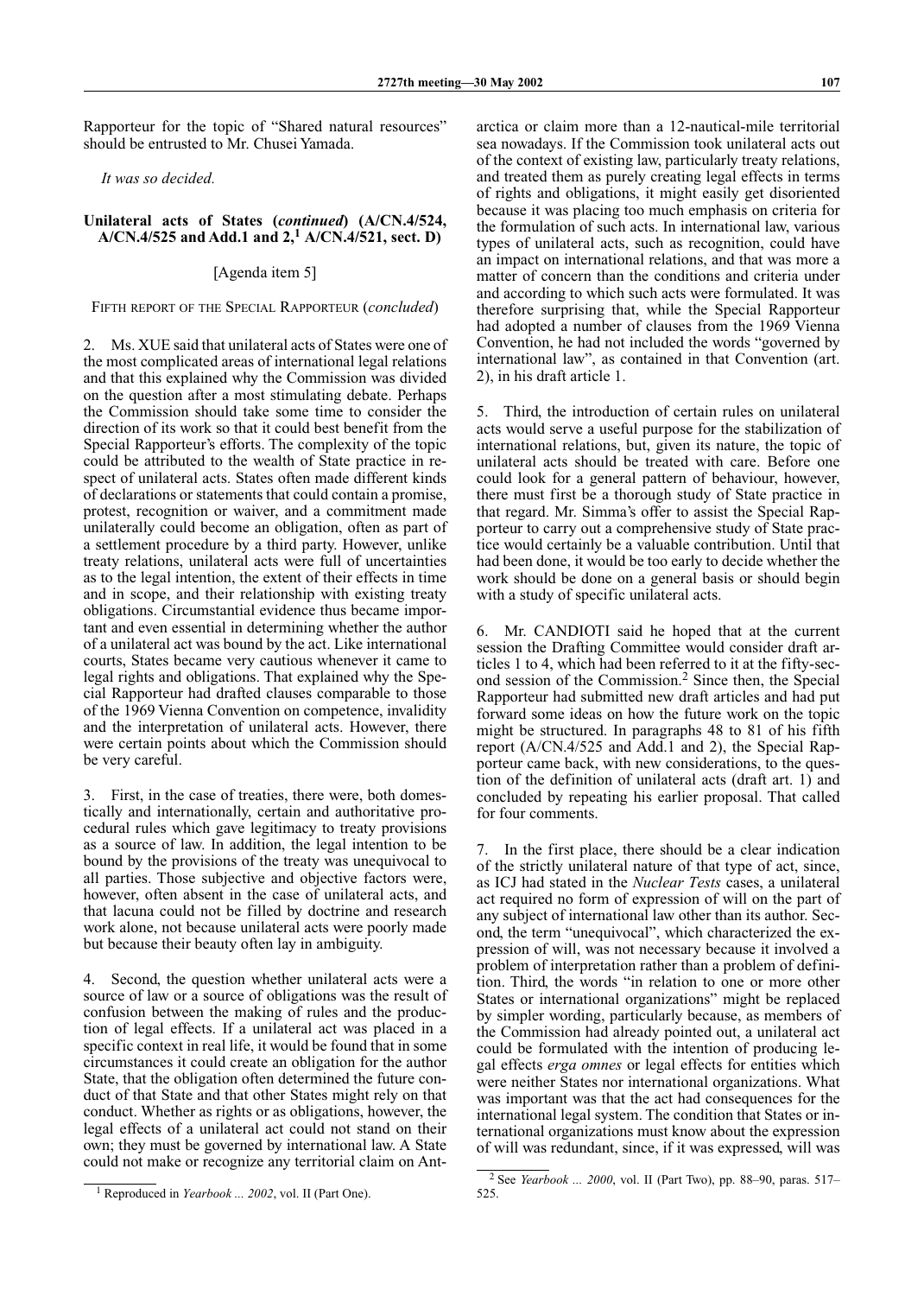Rapporteur for the topic of "Shared natural resources" should be entrusted to Mr. Chusei Yamada.

*It was so decided.*

#### **Unilateral acts of States (***continued***) (A/CN.4/524,** A/CN.4/525 and Add.1 and 2,<sup>1</sup> A/CN.4/521, sect. D)

### [Agenda item 5]

Fifth report of the Special Rapporteur (*concluded*)

2. Ms. XUE said that unilateral acts of States were one of the most complicated areas of international legal relations and that this explained why the Commission was divided on the question after a most stimulating debate. Perhaps the Commission should take some time to consider the direction of its work so that it could best benefit from the Special Rapporteur's efforts. The complexity of the topic could be attributed to the wealth of State practice in respect of unilateral acts. States often made different kinds of declarations or statements that could contain a promise, protest, recognition or waiver, and a commitment made unilaterally could become an obligation, often as part of a settlement procedure by a third party. However, unlike treaty relations, unilateral acts were full of uncertainties as to the legal intention, the extent of their effects in time and in scope, and their relationship with existing treaty obligations. Circumstantial evidence thus became important and even essential in determining whether the author of a unilateral act was bound by the act. Like international courts, States became very cautious whenever it came to legal rights and obligations. That explained why the Special Rapporteur had drafted clauses comparable to those of the 1969 Vienna Convention on competence, invalidity and the interpretation of unilateral acts. However, there were certain points about which the Commission should be very careful.

3. First, in the case of treaties, there were, both domestically and internationally, certain and authoritative procedural rules which gave legitimacy to treaty provisions as a source of law. In addition, the legal intention to be bound by the provisions of the treaty was unequivocal to all parties. Those subjective and objective factors were, however, often absent in the case of unilateral acts, and that lacuna could not be filled by doctrine and research work alone, not because unilateral acts were poorly made but because their beauty often lay in ambiguity.

4. Second, the question whether unilateral acts were a source of law or a source of obligations was the result of confusion between the making of rules and the production of legal effects. If a unilateral act was placed in a specific context in real life, it would be found that in some circumstances it could create an obligation for the author State, that the obligation often determined the future conduct of that State and that other States might rely on that conduct. Whether as rights or as obligations, however, the legal effects of a unilateral act could not stand on their own; they must be governed by international law. A State could not make or recognize any territorial claim on Ant-

<sup>1</sup> Reproduced in *Yearbook ... 2002*, vol. II (Part One).

arctica or claim more than a 12-nautical-mile territorial sea nowadays. If the Commission took unilateral acts out of the context of existing law, particularly treaty relations, and treated them as purely creating legal effects in terms of rights and obligations, it might easily get disoriented because it was placing too much emphasis on criteria for the formulation of such acts. In international law, various types of unilateral acts, such as recognition, could have an impact on international relations, and that was more a matter of concern than the conditions and criteria under and according to which such acts were formulated. It was therefore surprising that, while the Special Rapporteur had adopted a number of clauses from the 1969 Vienna Convention, he had not included the words "governed by international law", as contained in that Convention (art. 2), in his draft article 1.

5. Third, the introduction of certain rules on unilateral acts would serve a useful purpose for the stabilization of international relations, but, given its nature, the topic of unilateral acts should be treated with care. Before one could look for a general pattern of behaviour, however, there must first be a thorough study of State practice in that regard. Mr. Simma's offer to assist the Special Rapporteur to carry out a comprehensive study of State practice would certainly be a valuable contribution. Until that had been done, it would be too early to decide whether the work should be done on a general basis or should begin with a study of specific unilateral acts.

6. Mr. CANDIOTI said he hoped that at the current session the Drafting Committee would consider draft articles 1 to 4, which had been referred to it at the fifty-second session of the Commission.2 Since then, the Special Rapporteur had submitted new draft articles and had put forward some ideas on how the future work on the topic might be structured. In paragraphs 48 to 81 of his fifth report (A/CN.4/525 and Add.1 and 2), the Special Rapporteur came back, with new considerations, to the question of the definition of unilateral acts (draft art. 1) and concluded by repeating his earlier proposal. That called for four comments.

7. In the first place, there should be a clear indication of the strictly unilateral nature of that type of act, since, as ICJ had stated in the *Nuclear Tests* cases, a unilateral act required no form of expression of will on the part of any subject of international law other than its author. Second, the term "unequivocal", which characterized the expression of will, was not necessary because it involved a problem of interpretation rather than a problem of definition. Third, the words "in relation to one or more other States or international organizations" might be replaced by simpler wording, particularly because, as members of the Commission had already pointed out, a unilateral act could be formulated with the intention of producing legal effects *erga omnes* or legal effects for entities which were neither States nor international organizations. What was important was that the act had consequences for the international legal system. The condition that States or international organizations must know about the expression of will was redundant, since, if it was expressed, will was

<sup>&</sup>lt;sup>2</sup> See *Yearbook ... 2000*, vol. II (Part Two), pp. 88-90, paras. 517-525.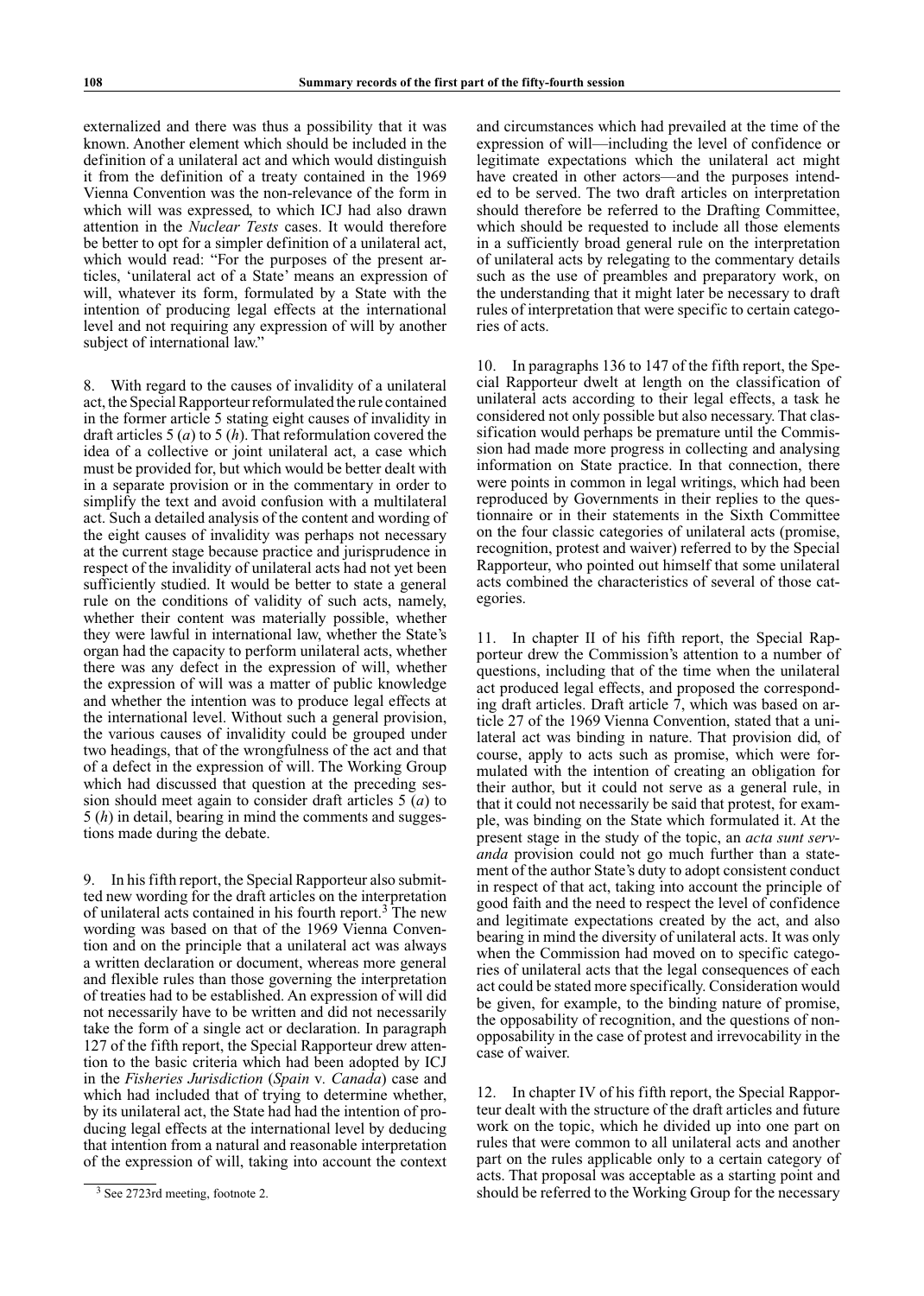externalized and there was thus a possibility that it was known. Another element which should be included in the definition of a unilateral act and which would distinguish it from the definition of a treaty contained in the 1969 Vienna Convention was the non-relevance of the form in which will was expressed, to which ICJ had also drawn attention in the *Nuclear Tests* cases. It would therefore be better to opt for a simpler definition of a unilateral act, which would read: "For the purposes of the present articles, 'unilateral act of a State' means an expression of will, whatever its form, formulated by a State with the intention of producing legal effects at the international level and not requiring any expression of will by another subject of international law."

8. With regard to the causes of invalidity of a unilateral act, the Special Rapporteur reformulated the rule contained in the former article 5 stating eight causes of invalidity in draft articles 5 (*a*) to 5 (*h*). That reformulation covered the idea of a collective or joint unilateral act, a case which must be provided for, but which would be better dealt with in a separate provision or in the commentary in order to simplify the text and avoid confusion with a multilateral act. Such a detailed analysis of the content and wording of the eight causes of invalidity was perhaps not necessary at the current stage because practice and jurisprudence in respect of the invalidity of unilateral acts had not yet been sufficiently studied. It would be better to state a general rule on the conditions of validity of such acts, namely, whether their content was materially possible, whether they were lawful in international law, whether the State's organ had the capacity to perform unilateral acts, whether there was any defect in the expression of will, whether the expression of will was a matter of public knowledge and whether the intention was to produce legal effects at the international level. Without such a general provision, the various causes of invalidity could be grouped under two headings, that of the wrongfulness of the act and that of a defect in the expression of will. The Working Group which had discussed that question at the preceding session should meet again to consider draft articles 5 (*a*) to 5 (*h*) in detail, bearing in mind the comments and suggestions made during the debate.

9. In his fifth report, the Special Rapporteur also submitted new wording for the draft articles on the interpretation of unilateral acts contained in his fourth report.3 The new wording was based on that of the 1969 Vienna Convention and on the principle that a unilateral act was always a written declaration or document, whereas more general and flexible rules than those governing the interpretation of treaties had to be established. An expression of will did not necessarily have to be written and did not necessarily take the form of a single act or declaration. In paragraph 127 of the fifth report, the Special Rapporteur drew attention to the basic criteria which had been adopted by ICJ in the *Fisheries Jurisdiction* (*Spain* v*. Canada*) case and which had included that of trying to determine whether, by its unilateral act, the State had had the intention of producing legal effects at the international level by deducing that intention from a natural and reasonable interpretation of the expression of will, taking into account the context

and circumstances which had prevailed at the time of the expression of will—including the level of confidence or legitimate expectations which the unilateral act might have created in other actors—and the purposes intended to be served. The two draft articles on interpretation should therefore be referred to the Drafting Committee, which should be requested to include all those elements in a sufficiently broad general rule on the interpretation of unilateral acts by relegating to the commentary details such as the use of preambles and preparatory work, on the understanding that it might later be necessary to draft rules of interpretation that were specific to certain categories of acts.

10. In paragraphs 136 to 147 of the fifth report, the Special Rapporteur dwelt at length on the classification of unilateral acts according to their legal effects, a task he considered not only possible but also necessary. That classification would perhaps be premature until the Commission had made more progress in collecting and analysing information on State practice. In that connection, there were points in common in legal writings, which had been reproduced by Governments in their replies to the questionnaire or in their statements in the Sixth Committee on the four classic categories of unilateral acts (promise, recognition, protest and waiver) referred to by the Special Rapporteur, who pointed out himself that some unilateral acts combined the characteristics of several of those categories.

11. In chapter II of his fifth report, the Special Rapporteur drew the Commission's attention to a number of questions, including that of the time when the unilateral act produced legal effects, and proposed the corresponding draft articles. Draft article 7, which was based on article 27 of the 1969 Vienna Convention, stated that a unilateral act was binding in nature. That provision did, of course, apply to acts such as promise, which were formulated with the intention of creating an obligation for their author, but it could not serve as a general rule, in that it could not necessarily be said that protest, for example, was binding on the State which formulated it. At the present stage in the study of the topic, an *acta sunt serv‑ anda* provision could not go much further than a statement of the author State's duty to adopt consistent conduct in respect of that act, taking into account the principle of good faith and the need to respect the level of confidence and legitimate expectations created by the act, and also bearing in mind the diversity of unilateral acts. It was only when the Commission had moved on to specific categories of unilateral acts that the legal consequences of each act could be stated more specifically. Consideration would be given, for example, to the binding nature of promise, the opposability of recognition, and the questions of nonopposability in the case of protest and irrevocability in the case of waiver.

12. In chapter IV of his fifth report, the Special Rapporteur dealt with the structure of the draft articles and future work on the topic, which he divided up into one part on rules that were common to all unilateral acts and another part on the rules applicable only to a certain category of acts. That proposal was acceptable as a starting point and should be referred to the Working Group for the necessary

<sup>&</sup>lt;sup>3</sup> See 2723rd meeting, footnote 2.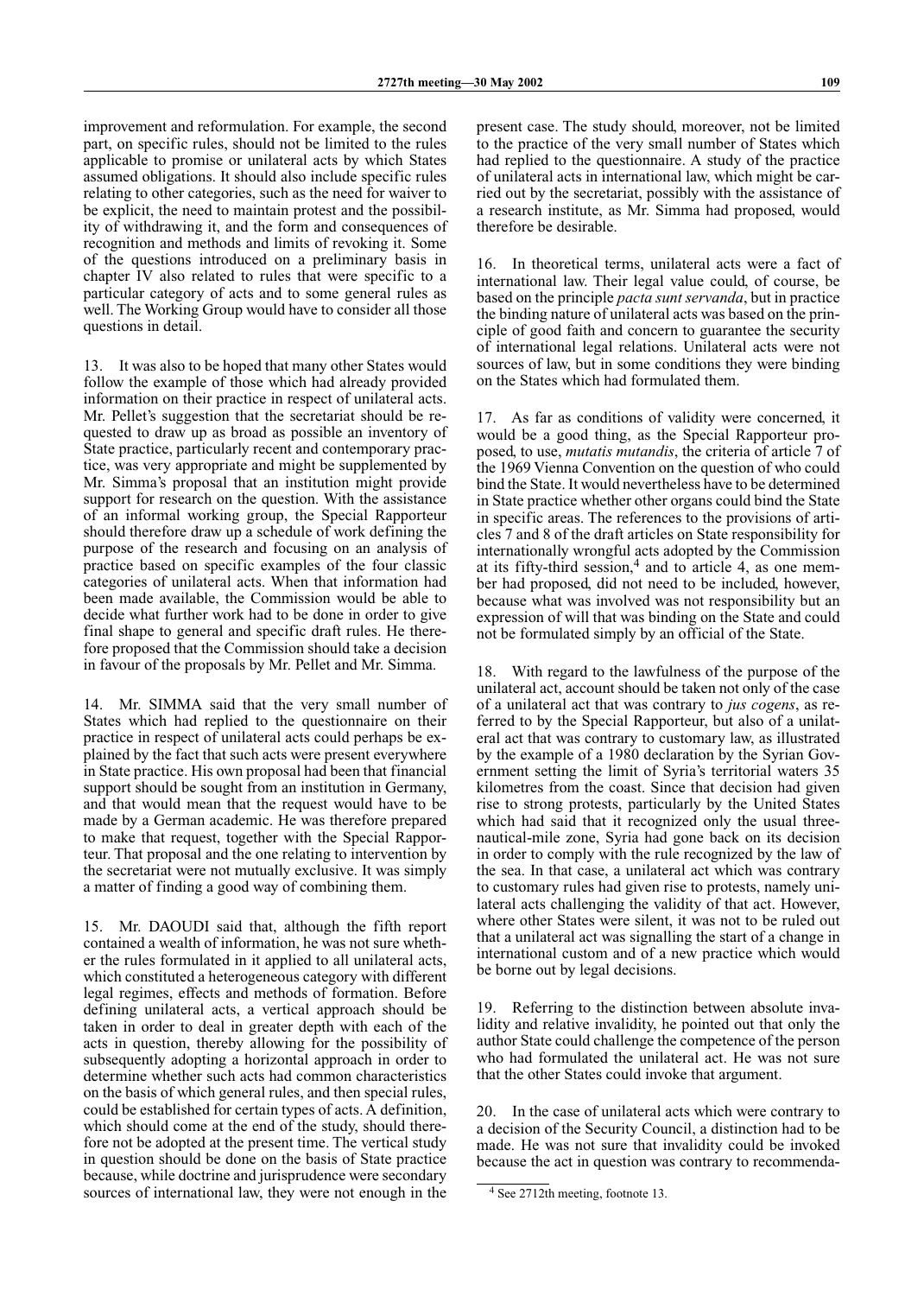improvement and reformulation. For example, the second part, on specific rules, should not be limited to the rules applicable to promise or unilateral acts by which States assumed obligations. It should also include specific rules relating to other categories, such as the need for waiver to be explicit, the need to maintain protest and the possibility of withdrawing it, and the form and consequences of recognition and methods and limits of revoking it. Some of the questions introduced on a preliminary basis in chapter IV also related to rules that were specific to a particular category of acts and to some general rules as well. The Working Group would have to consider all those questions in detail.

13. It was also to be hoped that many other States would follow the example of those which had already provided information on their practice in respect of unilateral acts. Mr. Pellet's suggestion that the secretariat should be requested to draw up as broad as possible an inventory of State practice, particularly recent and contemporary practice, was very appropriate and might be supplemented by Mr. Simma's proposal that an institution might provide support for research on the question. With the assistance of an informal working group, the Special Rapporteur should therefore draw up a schedule of work defining the purpose of the research and focusing on an analysis of practice based on specific examples of the four classic categories of unilateral acts. When that information had been made available, the Commission would be able to decide what further work had to be done in order to give final shape to general and specific draft rules. He therefore proposed that the Commission should take a decision in favour of the proposals by Mr. Pellet and Mr. Simma.

14. Mr. SIMMA said that the very small number of States which had replied to the questionnaire on their practice in respect of unilateral acts could perhaps be explained by the fact that such acts were present everywhere in State practice. His own proposal had been that financial support should be sought from an institution in Germany, and that would mean that the request would have to be made by a German academic. He was therefore prepared to make that request, together with the Special Rapporteur. That proposal and the one relating to intervention by the secretariat were not mutually exclusive. It was simply a matter of finding a good way of combining them.

15. Mr. DAOUDI said that, although the fifth report contained a wealth of information, he was not sure whether the rules formulated in it applied to all unilateral acts, which constituted a heterogeneous category with different legal regimes, effects and methods of formation. Before defining unilateral acts, a vertical approach should be taken in order to deal in greater depth with each of the acts in question, thereby allowing for the possibility of subsequently adopting a horizontal approach in order to determine whether such acts had common characteristics on the basis of which general rules, and then special rules, could be established for certain types of acts. A definition, which should come at the end of the study, should therefore not be adopted at the present time. The vertical study in question should be done on the basis of State practice because, while doctrine and jurisprudence were secondary sources of international law, they were not enough in the present case. The study should, moreover, not be limited to the practice of the very small number of States which had replied to the questionnaire. A study of the practice of unilateral acts in international law, which might be carried out by the secretariat, possibly with the assistance of a research institute, as Mr. Simma had proposed, would therefore be desirable.

16. In theoretical terms, unilateral acts were a fact of international law. Their legal value could, of course, be based on the principle *pacta sunt servanda*, but in practice the binding nature of unilateral acts was based on the principle of good faith and concern to guarantee the security of international legal relations. Unilateral acts were not sources of law, but in some conditions they were binding on the States which had formulated them.

17. As far as conditions of validity were concerned, it would be a good thing, as the Special Rapporteur proposed, to use, *mutatis mutandis*, the criteria of article 7 of the 1969 Vienna Convention on the question of who could bind the State. It would nevertheless have to be determined in State practice whether other organs could bind the State in specific areas. The references to the provisions of articles 7 and 8 of the draft articles on State responsibility for internationally wrongful acts adopted by the Commission at its fifty-third session, $4$  and to article 4, as one member had proposed, did not need to be included, however, because what was involved was not responsibility but an expression of will that was binding on the State and could not be formulated simply by an official of the State.

18. With regard to the lawfulness of the purpose of the unilateral act, account should be taken not only of the case of a unilateral act that was contrary to *jus cogens*, as referred to by the Special Rapporteur, but also of a unilateral act that was contrary to customary law, as illustrated by the example of a 1980 declaration by the Syrian Government setting the limit of Syria's territorial waters 35 kilometres from the coast. Since that decision had given rise to strong protests, particularly by the United States which had said that it recognized only the usual threenautical-mile zone, Syria had gone back on its decision in order to comply with the rule recognized by the law of the sea. In that case, a unilateral act which was contrary to customary rules had given rise to protests, namely unilateral acts challenging the validity of that act. However, where other States were silent, it was not to be ruled out that a unilateral act was signalling the start of a change in international custom and of a new practice which would be borne out by legal decisions.

19. Referring to the distinction between absolute invalidity and relative invalidity, he pointed out that only the author State could challenge the competence of the person who had formulated the unilateral act. He was not sure that the other States could invoke that argument.

20. In the case of unilateral acts which were contrary to a decision of the Security Council, a distinction had to be made. He was not sure that invalidity could be invoked because the act in question was contrary to recommenda-

<sup>&</sup>lt;sup>4</sup> See 2712th meeting, footnote 13.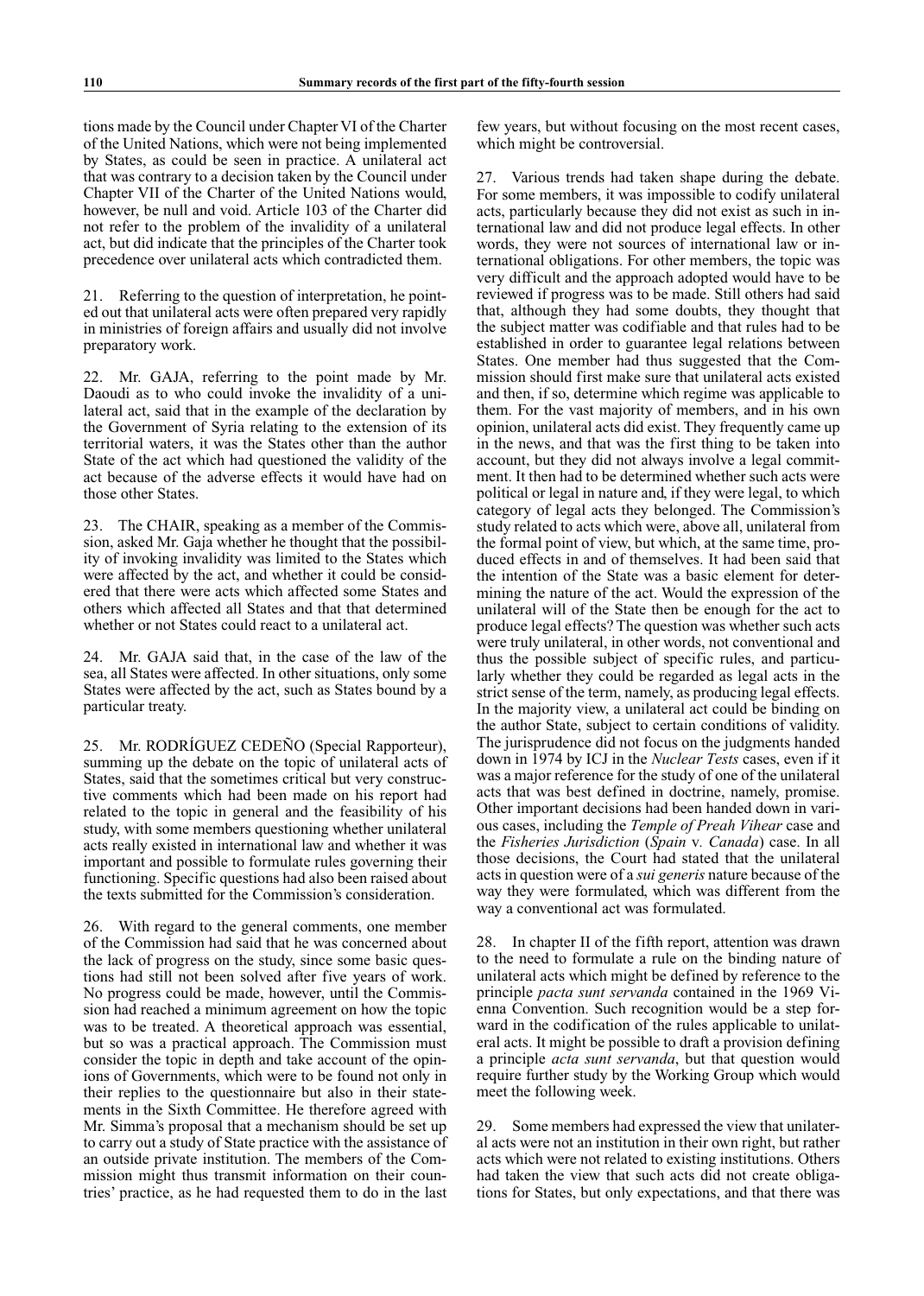tions made by the Council under Chapter VI of the Charter of the United Nations, which were not being implemented by States, as could be seen in practice. A unilateral act that was contrary to a decision taken by the Council under Chapter VII of the Charter of the United Nations would, however, be null and void. Article 103 of the Charter did not refer to the problem of the invalidity of a unilateral act, but did indicate that the principles of the Charter took precedence over unilateral acts which contradicted them.

21. Referring to the question of interpretation, he pointed out that unilateral acts were often prepared very rapidly in ministries of foreign affairs and usually did not involve preparatory work.

22. Mr. GAJA, referring to the point made by Mr. Daoudi as to who could invoke the invalidity of a unilateral act, said that in the example of the declaration by the Government of Syria relating to the extension of its territorial waters, it was the States other than the author State of the act which had questioned the validity of the act because of the adverse effects it would have had on those other States.

23. The CHAIR, speaking as a member of the Commission, asked Mr. Gaja whether he thought that the possibility of invoking invalidity was limited to the States which were affected by the act, and whether it could be considered that there were acts which affected some States and others which affected all States and that that determined whether or not States could react to a unilateral act.

24. Mr. GAJA said that, in the case of the law of the sea, all States were affected. In other situations, only some States were affected by the act, such as States bound by a particular treaty.

25. Mr. RODRÍGUEZ CEDEÑO (Special Rapporteur), summing up the debate on the topic of unilateral acts of States, said that the sometimes critical but very constructive comments which had been made on his report had related to the topic in general and the feasibility of his study, with some members questioning whether unilateral acts really existed in international law and whether it was important and possible to formulate rules governing their functioning. Specific questions had also been raised about the texts submitted for the Commission's consideration.

26. With regard to the general comments, one member of the Commission had said that he was concerned about the lack of progress on the study, since some basic questions had still not been solved after five years of work. No progress could be made, however, until the Commission had reached a minimum agreement on how the topic was to be treated. A theoretical approach was essential, but so was a practical approach. The Commission must consider the topic in depth and take account of the opinions of Governments, which were to be found not only in their replies to the questionnaire but also in their statements in the Sixth Committee. He therefore agreed with Mr. Simma's proposal that a mechanism should be set up to carry out a study of State practice with the assistance of an outside private institution. The members of the Commission might thus transmit information on their countries' practice, as he had requested them to do in the last

few years, but without focusing on the most recent cases, which might be controversial.

27. Various trends had taken shape during the debate. For some members, it was impossible to codify unilateral acts, particularly because they did not exist as such in international law and did not produce legal effects. In other words, they were not sources of international law or international obligations. For other members, the topic was very difficult and the approach adopted would have to be reviewed if progress was to be made. Still others had said that, although they had some doubts, they thought that the subject matter was codifiable and that rules had to be established in order to guarantee legal relations between States. One member had thus suggested that the Commission should first make sure that unilateral acts existed and then, if so, determine which regime was applicable to them. For the vast majority of members, and in his own opinion, unilateral acts did exist. They frequently came up in the news, and that was the first thing to be taken into account, but they did not always involve a legal commitment. It then had to be determined whether such acts were political or legal in nature and, if they were legal, to which category of legal acts they belonged. The Commission's study related to acts which were, above all, unilateral from the formal point of view, but which, at the same time, produced effects in and of themselves. It had been said that the intention of the State was a basic element for determining the nature of the act. Would the expression of the unilateral will of the State then be enough for the act to produce legal effects? The question was whether such acts were truly unilateral, in other words, not conventional and thus the possible subject of specific rules, and particularly whether they could be regarded as legal acts in the strict sense of the term, namely, as producing legal effects. In the majority view, a unilateral act could be binding on the author State, subject to certain conditions of validity. The jurisprudence did not focus on the judgments handed down in 1974 by ICJ in the *Nuclear Tests* cases, even if it was a major reference for the study of one of the unilateral acts that was best defined in doctrine, namely, promise. Other important decisions had been handed down in various cases, including the *Temple of Preah Vihear* case and the *Fisheries Jurisdiction* (*Spain* v*. Canada*) case. In all those decisions, the Court had stated that the unilateral acts in question were of a *sui generis* nature because of the way they were formulated, which was different from the way a conventional act was formulated.

28. In chapter II of the fifth report, attention was drawn to the need to formulate a rule on the binding nature of unilateral acts which might be defined by reference to the principle *pacta sunt servanda* contained in the 1969 Vienna Convention. Such recognition would be a step forward in the codification of the rules applicable to unilateral acts. It might be possible to draft a provision defining a principle *acta sunt servanda*, but that question would require further study by the Working Group which would meet the following week.

29. Some members had expressed the view that unilateral acts were not an institution in their own right, but rather acts which were not related to existing institutions. Others had taken the view that such acts did not create obligations for States, but only expectations, and that there was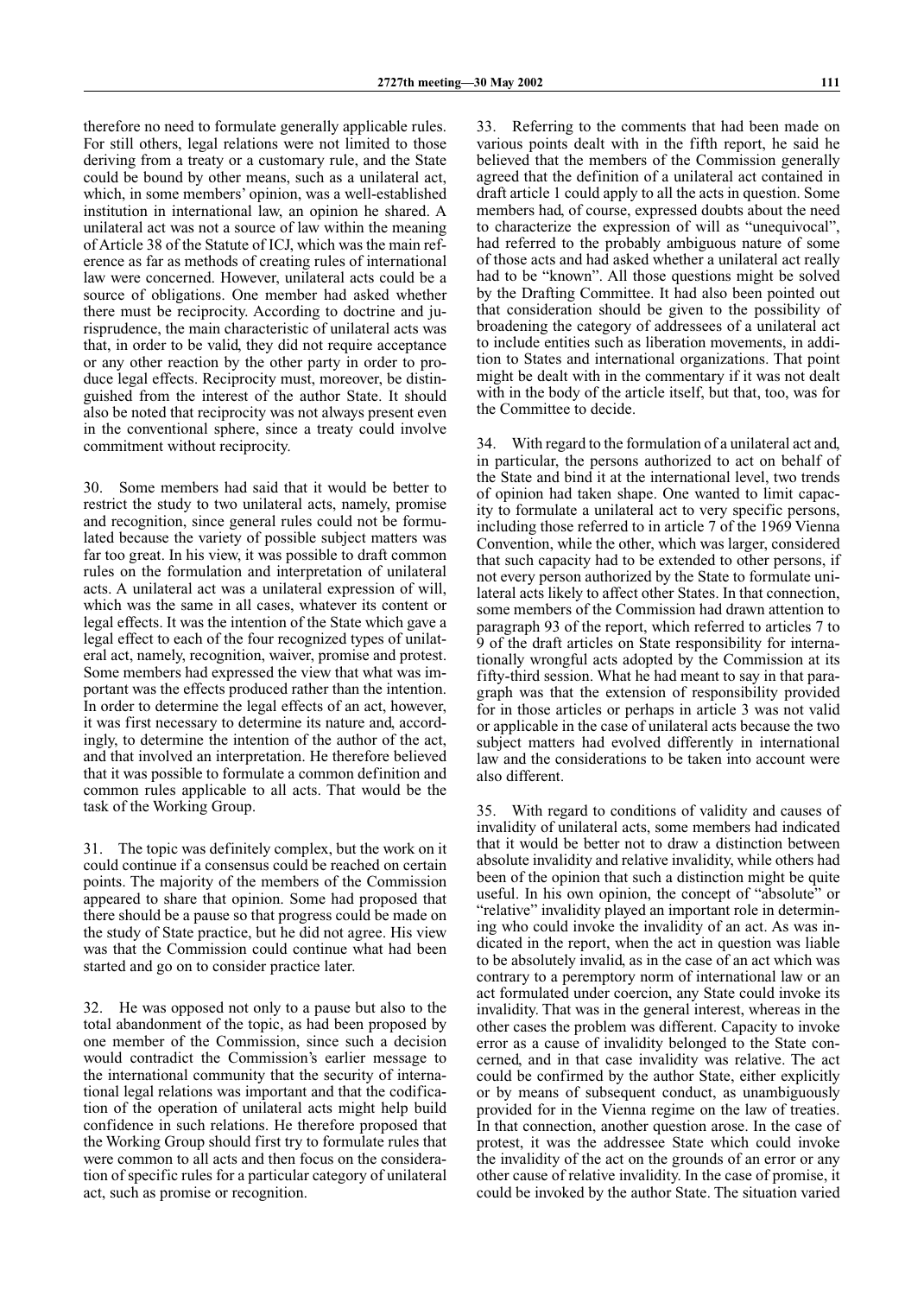therefore no need to formulate generally applicable rules. For still others, legal relations were not limited to those deriving from a treaty or a customary rule, and the State could be bound by other means, such as a unilateral act, which, in some members' opinion, was a well-established institution in international law, an opinion he shared. A unilateral act was not a source of law within the meaning of Article 38 of the Statute of ICJ, which was the main reference as far as methods of creating rules of international law were concerned. However, unilateral acts could be a source of obligations. One member had asked whether there must be reciprocity. According to doctrine and jurisprudence, the main characteristic of unilateral acts was that, in order to be valid, they did not require acceptance or any other reaction by the other party in order to produce legal effects. Reciprocity must, moreover, be distinguished from the interest of the author State. It should also be noted that reciprocity was not always present even in the conventional sphere, since a treaty could involve commitment without reciprocity.

30. Some members had said that it would be better to restrict the study to two unilateral acts, namely, promise and recognition, since general rules could not be formulated because the variety of possible subject matters was far too great. In his view, it was possible to draft common rules on the formulation and interpretation of unilateral acts. A unilateral act was a unilateral expression of will, which was the same in all cases, whatever its content or legal effects. It was the intention of the State which gave a legal effect to each of the four recognized types of unilateral act, namely, recognition, waiver, promise and protest. Some members had expressed the view that what was important was the effects produced rather than the intention. In order to determine the legal effects of an act, however, it was first necessary to determine its nature and, accordingly, to determine the intention of the author of the act, and that involved an interpretation. He therefore believed that it was possible to formulate a common definition and common rules applicable to all acts. That would be the task of the Working Group.

31. The topic was definitely complex, but the work on it could continue if a consensus could be reached on certain points. The majority of the members of the Commission appeared to share that opinion. Some had proposed that there should be a pause so that progress could be made on the study of State practice, but he did not agree. His view was that the Commission could continue what had been started and go on to consider practice later.

32. He was opposed not only to a pause but also to the total abandonment of the topic, as had been proposed by one member of the Commission, since such a decision would contradict the Commission's earlier message to the international community that the security of international legal relations was important and that the codification of the operation of unilateral acts might help build confidence in such relations. He therefore proposed that the Working Group should first try to formulate rules that were common to all acts and then focus on the consideration of specific rules for a particular category of unilateral act, such as promise or recognition.

33. Referring to the comments that had been made on various points dealt with in the fifth report, he said he believed that the members of the Commission generally agreed that the definition of a unilateral act contained in draft article 1 could apply to all the acts in question. Some members had, of course, expressed doubts about the need to characterize the expression of will as "unequivocal", had referred to the probably ambiguous nature of some of those acts and had asked whether a unilateral act really had to be "known". All those questions might be solved by the Drafting Committee. It had also been pointed out that consideration should be given to the possibility of broadening the category of addressees of a unilateral act to include entities such as liberation movements, in addition to States and international organizations. That point might be dealt with in the commentary if it was not dealt with in the body of the article itself, but that, too, was for the Committee to decide.

34. With regard to the formulation of a unilateral act and, in particular, the persons authorized to act on behalf of the State and bind it at the international level, two trends of opinion had taken shape. One wanted to limit capacity to formulate a unilateral act to very specific persons, including those referred to in article 7 of the 1969 Vienna Convention, while the other, which was larger, considered that such capacity had to be extended to other persons, if not every person authorized by the State to formulate unilateral acts likely to affect other States. In that connection, some members of the Commission had drawn attention to paragraph 93 of the report, which referred to articles 7 to 9 of the draft articles on State responsibility for internationally wrongful acts adopted by the Commission at its fifty-third session. What he had meant to say in that paragraph was that the extension of responsibility provided for in those articles or perhaps in article 3 was not valid or applicable in the case of unilateral acts because the two subject matters had evolved differently in international law and the considerations to be taken into account were also different.

35. With regard to conditions of validity and causes of invalidity of unilateral acts, some members had indicated that it would be better not to draw a distinction between absolute invalidity and relative invalidity, while others had been of the opinion that such a distinction might be quite useful. In his own opinion, the concept of "absolute" or "relative" invalidity played an important role in determining who could invoke the invalidity of an act. As was indicated in the report, when the act in question was liable to be absolutely invalid, as in the case of an act which was contrary to a peremptory norm of international law or an act formulated under coercion, any State could invoke its invalidity. That was in the general interest, whereas in the other cases the problem was different. Capacity to invoke error as a cause of invalidity belonged to the State concerned, and in that case invalidity was relative. The act could be confirmed by the author State, either explicitly or by means of subsequent conduct, as unambiguously provided for in the Vienna regime on the law of treaties. In that connection, another question arose. In the case of protest, it was the addressee State which could invoke the invalidity of the act on the grounds of an error or any other cause of relative invalidity. In the case of promise, it could be invoked by the author State. The situation varied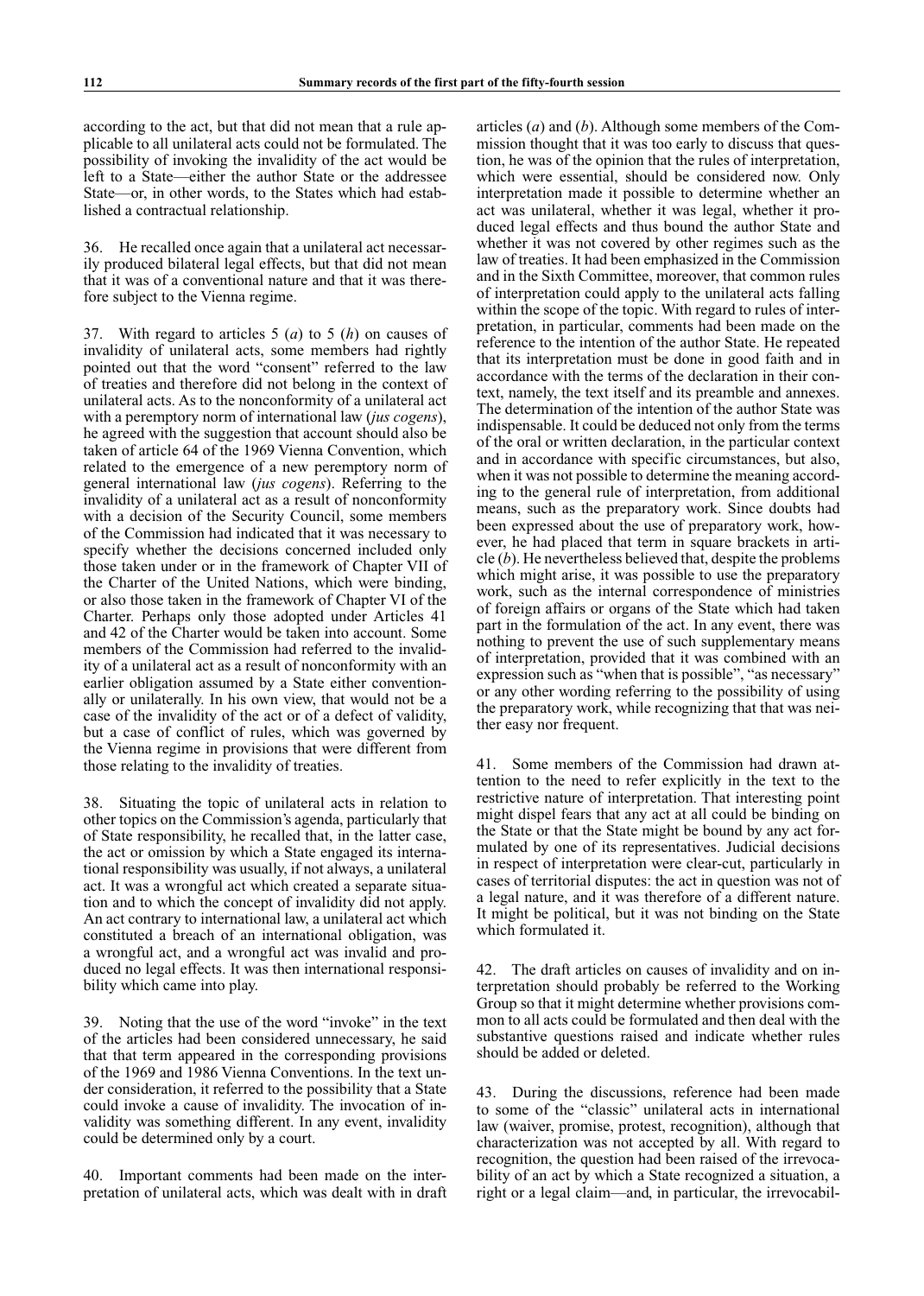according to the act, but that did not mean that a rule applicable to all unilateral acts could not be formulated. The possibility of invoking the invalidity of the act would be left to a State—either the author State or the addressee State—or, in other words, to the States which had established a contractual relationship.

36. He recalled once again that a unilateral act necessarily produced bilateral legal effects, but that did not mean that it was of a conventional nature and that it was therefore subject to the Vienna regime.

37. With regard to articles 5 (*a*) to 5 (*h*) on causes of invalidity of unilateral acts, some members had rightly pointed out that the word "consent" referred to the law of treaties and therefore did not belong in the context of unilateral acts. As to the nonconformity of a unilateral act with a peremptory norm of international law (*jus cogens*), he agreed with the suggestion that account should also be taken of article 64 of the 1969 Vienna Convention, which related to the emergence of a new peremptory norm of general international law (*jus cogens*). Referring to the invalidity of a unilateral act as a result of nonconformity with a decision of the Security Council, some members of the Commission had indicated that it was necessary to specify whether the decisions concerned included only those taken under or in the framework of Chapter VII of the Charter of the United Nations, which were binding, or also those taken in the framework of Chapter VI of the Charter. Perhaps only those adopted under Articles 41 and 42 of the Charter would be taken into account. Some members of the Commission had referred to the invalidity of a unilateral act as a result of nonconformity with an earlier obligation assumed by a State either conventionally or unilaterally. In his own view, that would not be a case of the invalidity of the act or of a defect of validity, but a case of conflict of rules, which was governed by the Vienna regime in provisions that were different from those relating to the invalidity of treaties.

38. Situating the topic of unilateral acts in relation to other topics on the Commission's agenda, particularly that of State responsibility, he recalled that, in the latter case, the act or omission by which a State engaged its international responsibility was usually, if not always, a unilateral act. It was a wrongful act which created a separate situation and to which the concept of invalidity did not apply. An act contrary to international law, a unilateral act which constituted a breach of an international obligation, was a wrongful act, and a wrongful act was invalid and produced no legal effects. It was then international responsibility which came into play.

39. Noting that the use of the word "invoke" in the text of the articles had been considered unnecessary, he said that that term appeared in the corresponding provisions of the 1969 and 1986 Vienna Conventions. In the text under consideration, it referred to the possibility that a State could invoke a cause of invalidity. The invocation of invalidity was something different. In any event, invalidity could be determined only by a court.

40. Important comments had been made on the interpretation of unilateral acts, which was dealt with in draft articles (*a*) and (*b*). Although some members of the Commission thought that it was too early to discuss that question, he was of the opinion that the rules of interpretation, which were essential, should be considered now. Only interpretation made it possible to determine whether an act was unilateral, whether it was legal, whether it produced legal effects and thus bound the author State and whether it was not covered by other regimes such as the law of treaties. It had been emphasized in the Commission and in the Sixth Committee, moreover, that common rules of interpretation could apply to the unilateral acts falling within the scope of the topic. With regard to rules of interpretation, in particular, comments had been made on the reference to the intention of the author State. He repeated that its interpretation must be done in good faith and in accordance with the terms of the declaration in their context, namely, the text itself and its preamble and annexes. The determination of the intention of the author State was indispensable. It could be deduced not only from the terms of the oral or written declaration, in the particular context and in accordance with specific circumstances, but also, when it was not possible to determine the meaning according to the general rule of interpretation, from additional means, such as the preparatory work. Since doubts had been expressed about the use of preparatory work, however, he had placed that term in square brackets in article (*b*). He nevertheless believed that, despite the problems which might arise, it was possible to use the preparatory work, such as the internal correspondence of ministries of foreign affairs or organs of the State which had taken part in the formulation of the act. In any event, there was nothing to prevent the use of such supplementary means of interpretation, provided that it was combined with an expression such as "when that is possible", "as necessary" or any other wording referring to the possibility of using the preparatory work, while recognizing that that was neither easy nor frequent.

41. Some members of the Commission had drawn attention to the need to refer explicitly in the text to the restrictive nature of interpretation. That interesting point might dispel fears that any act at all could be binding on the State or that the State might be bound by any act formulated by one of its representatives. Judicial decisions in respect of interpretation were clear-cut, particularly in cases of territorial disputes: the act in question was not of a legal nature, and it was therefore of a different nature. It might be political, but it was not binding on the State which formulated it.

42. The draft articles on causes of invalidity and on interpretation should probably be referred to the Working Group so that it might determine whether provisions common to all acts could be formulated and then deal with the substantive questions raised and indicate whether rules should be added or deleted.

43. During the discussions, reference had been made to some of the "classic" unilateral acts in international law (waiver, promise, protest, recognition), although that characterization was not accepted by all. With regard to recognition, the question had been raised of the irrevocability of an act by which a State recognized a situation, a right or a legal claim—and, in particular, the irrevocabil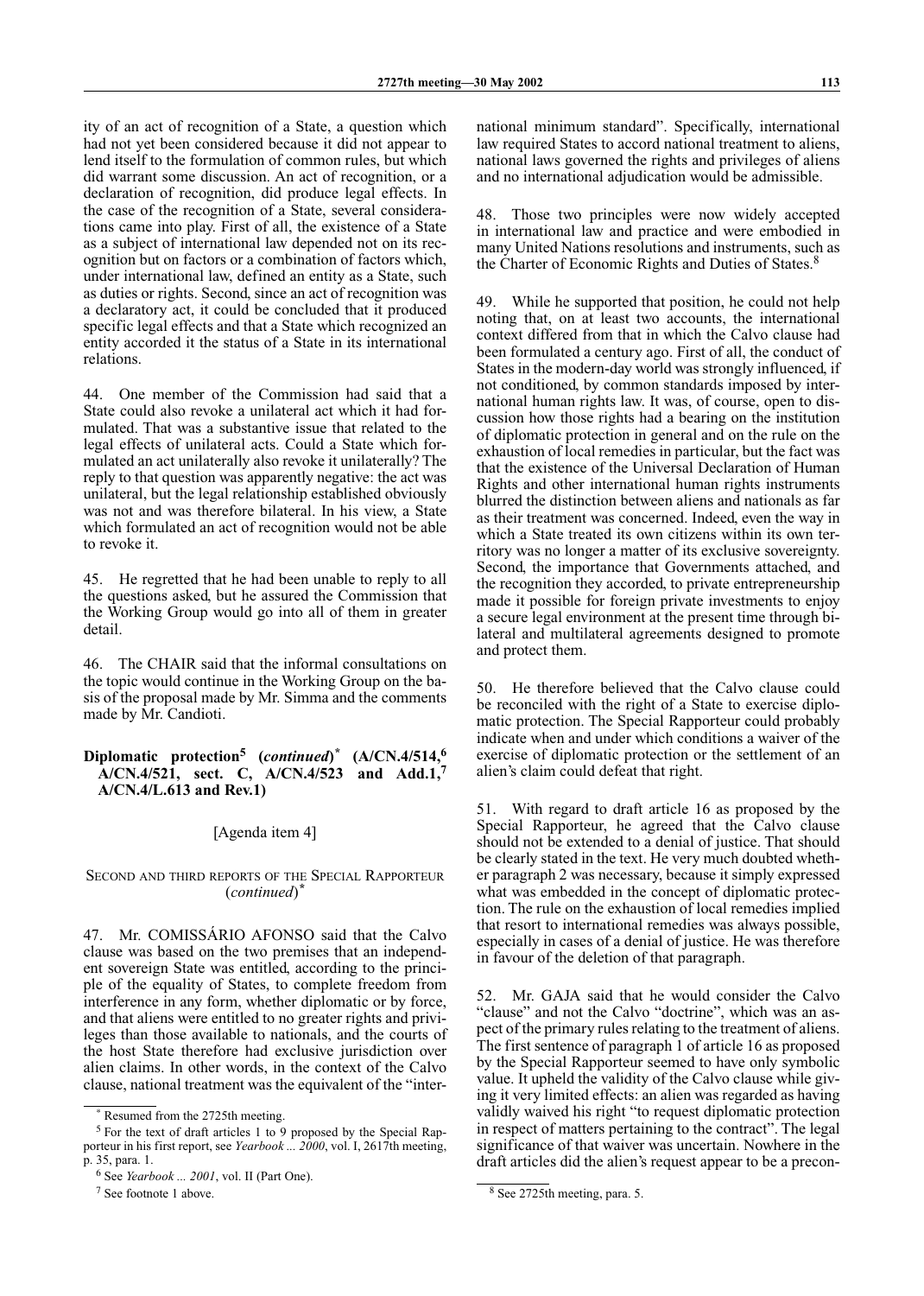ity of an act of recognition of a State, a question which had not yet been considered because it did not appear to lend itself to the formulation of common rules, but which did warrant some discussion. An act of recognition, or a declaration of recognition, did produce legal effects. In the case of the recognition of a State, several considerations came into play. First of all, the existence of a State as a subject of international law depended not on its recognition but on factors or a combination of factors which, under international law, defined an entity as a State, such as duties or rights. Second, since an act of recognition was a declaratory act, it could be concluded that it produced specific legal effects and that a State which recognized an entity accorded it the status of a State in its international relations.

44. One member of the Commission had said that a State could also revoke a unilateral act which it had formulated. That was a substantive issue that related to the legal effects of unilateral acts. Could a State which formulated an act unilaterally also revoke it unilaterally? The reply to that question was apparently negative: the act was unilateral, but the legal relationship established obviously was not and was therefore bilateral. In his view, a State which formulated an act of recognition would not be able to revoke it.

45. He regretted that he had been unable to reply to all the questions asked, but he assured the Commission that the Working Group would go into all of them in greater detail.

46. The CHAIR said that the informal consultations on the topic would continue in the Working Group on the basis of the proposal made by Mr. Simma and the comments made by Mr. Candioti.

### **Diplomatic protection5 (***continued***)** *\** **(A/CN.4/514,<sup>6</sup> A/CN.4/521, sect. C, A/CN.4/523 and Add.1, 7 A/CN.4/L.613 and Rev.1)**

### [Agenda item 4]

Second and third reports of the Special Rapporteur (*continued*) *\**

47. Mr. COMISSÁRIO AFONSO said that the Calvo clause was based on the two premises that an independent sovereign State was entitled, according to the principle of the equality of States, to complete freedom from interference in any form, whether diplomatic or by force, and that aliens were entitled to no greater rights and privileges than those available to nationals, and the courts of the host State therefore had exclusive jurisdiction over alien claims. In other words, in the context of the Calvo clause, national treatment was the equivalent of the "international minimum standard". Specifically, international law required States to accord national treatment to aliens, national laws governed the rights and privileges of aliens and no international adjudication would be admissible.

48. Those two principles were now widely accepted in international law and practice and were embodied in many United Nations resolutions and instruments, such as the Charter of Economic Rights and Duties of States.8

49. While he supported that position, he could not help noting that, on at least two accounts, the international context differed from that in which the Calvo clause had been formulated a century ago. First of all, the conduct of States in the modern-day world was strongly influenced, if not conditioned, by common standards imposed by international human rights law. It was, of course, open to discussion how those rights had a bearing on the institution of diplomatic protection in general and on the rule on the exhaustion of local remedies in particular, but the fact was that the existence of the Universal Declaration of Human Rights and other international human rights instruments blurred the distinction between aliens and nationals as far as their treatment was concerned. Indeed, even the way in which a State treated its own citizens within its own territory was no longer a matter of its exclusive sovereignty. Second, the importance that Governments attached, and the recognition they accorded, to private entrepreneurship made it possible for foreign private investments to enjoy a secure legal environment at the present time through bilateral and multilateral agreements designed to promote and protect them.

50. He therefore believed that the Calvo clause could be reconciled with the right of a State to exercise diplomatic protection. The Special Rapporteur could probably indicate when and under which conditions a waiver of the exercise of diplomatic protection or the settlement of an alien's claim could defeat that right.

51. With regard to draft article 16 as proposed by the Special Rapporteur, he agreed that the Calvo clause should not be extended to a denial of justice. That should be clearly stated in the text. He very much doubted whether paragraph 2 was necessary, because it simply expressed what was embedded in the concept of diplomatic protection. The rule on the exhaustion of local remedies implied that resort to international remedies was always possible, especially in cases of a denial of justice. He was therefore in favour of the deletion of that paragraph.

52. Mr. GAJA said that he would consider the Calvo "clause" and not the Calvo "doctrine", which was an aspect of the primary rules relating to the treatment of aliens. The first sentence of paragraph 1 of article 16 as proposed by the Special Rapporteur seemed to have only symbolic value. It upheld the validity of the Calvo clause while giving it very limited effects: an alien was regarded as having validly waived his right "to request diplomatic protection in respect of matters pertaining to the contract". The legal significance of that waiver was uncertain. Nowhere in the draft articles did the alien's request appear to be a precon-

Resumed from the 2725th meeting.

 $5$  For the text of draft articles 1 to 9 proposed by the Special Rapporteur in his first report, see *Yearbook ... 2000*, vol. I, 2617th meeting, p. 35, para. 1.

<sup>&</sup>lt;sup>6</sup> See *Yearbook ... 2001*, vol. II (Part One).

<sup>&</sup>lt;sup>7</sup> See footnote 1 above.

<sup>&</sup>lt;sup>8</sup> See 2725th meeting, para. 5.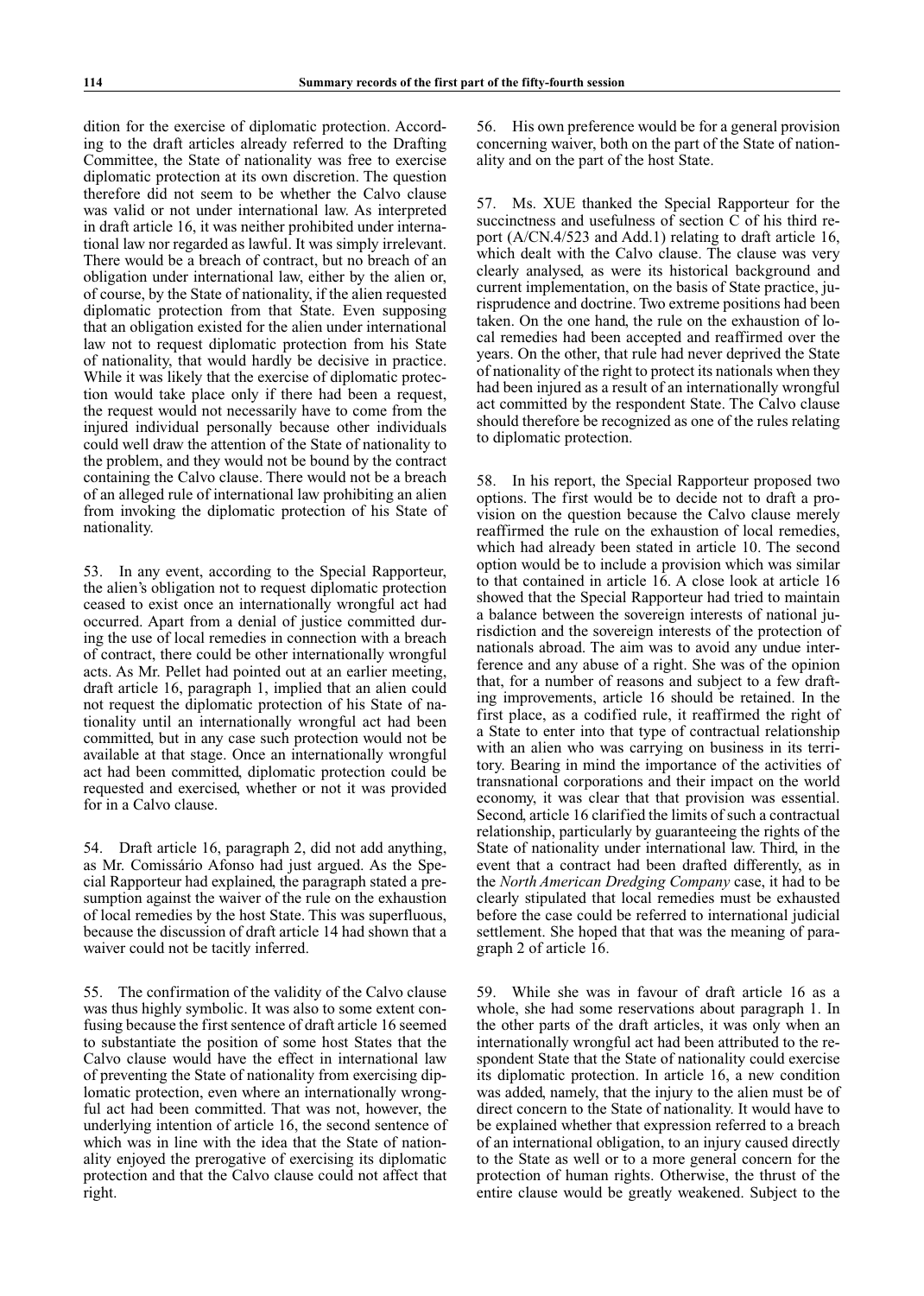dition for the exercise of diplomatic protection. According to the draft articles already referred to the Drafting Committee, the State of nationality was free to exercise diplomatic protection at its own discretion. The question therefore did not seem to be whether the Calvo clause was valid or not under international law. As interpreted in draft article 16, it was neither prohibited under international law nor regarded as lawful. It was simply irrelevant. There would be a breach of contract, but no breach of an obligation under international law, either by the alien or, of course, by the State of nationality, if the alien requested diplomatic protection from that State. Even supposing that an obligation existed for the alien under international law not to request diplomatic protection from his State of nationality, that would hardly be decisive in practice. While it was likely that the exercise of diplomatic protection would take place only if there had been a request, the request would not necessarily have to come from the injured individual personally because other individuals could well draw the attention of the State of nationality to the problem, and they would not be bound by the contract containing the Calvo clause. There would not be a breach of an alleged rule of international law prohibiting an alien from invoking the diplomatic protection of his State of nationality.

53. In any event, according to the Special Rapporteur, the alien's obligation not to request diplomatic protection ceased to exist once an internationally wrongful act had occurred. Apart from a denial of justice committed during the use of local remedies in connection with a breach of contract, there could be other internationally wrongful acts. As Mr. Pellet had pointed out at an earlier meeting, draft article 16, paragraph 1, implied that an alien could not request the diplomatic protection of his State of nationality until an internationally wrongful act had been committed, but in any case such protection would not be available at that stage. Once an internationally wrongful act had been committed, diplomatic protection could be requested and exercised, whether or not it was provided for in a Calvo clause.

54. Draft article 16, paragraph 2, did not add anything, as Mr. Comissário Afonso had just argued. As the Special Rapporteur had explained, the paragraph stated a presumption against the waiver of the rule on the exhaustion of local remedies by the host State. This was superfluous, because the discussion of draft article 14 had shown that a waiver could not be tacitly inferred.

55. The confirmation of the validity of the Calvo clause was thus highly symbolic. It was also to some extent confusing because the first sentence of draft article 16 seemed to substantiate the position of some host States that the Calvo clause would have the effect in international law of preventing the State of nationality from exercising diplomatic protection, even where an internationally wrongful act had been committed. That was not, however, the underlying intention of article 16, the second sentence of which was in line with the idea that the State of nationality enjoyed the prerogative of exercising its diplomatic protection and that the Calvo clause could not affect that right.

56. His own preference would be for a general provision concerning waiver, both on the part of the State of nationality and on the part of the host State.

57. Ms. XUE thanked the Special Rapporteur for the succinctness and usefulness of section C of his third report (A/CN.4/523 and Add.1) relating to draft article 16, which dealt with the Calvo clause. The clause was very clearly analysed, as were its historical background and current implementation, on the basis of State practice, jurisprudence and doctrine. Two extreme positions had been taken. On the one hand, the rule on the exhaustion of local remedies had been accepted and reaffirmed over the years. On the other, that rule had never deprived the State of nationality of the right to protect its nationals when they had been injured as a result of an internationally wrongful act committed by the respondent State. The Calvo clause should therefore be recognized as one of the rules relating to diplomatic protection.

58. In his report, the Special Rapporteur proposed two options. The first would be to decide not to draft a provision on the question because the Calvo clause merely reaffirmed the rule on the exhaustion of local remedies, which had already been stated in article 10. The second option would be to include a provision which was similar to that contained in article 16. A close look at article 16 showed that the Special Rapporteur had tried to maintain a balance between the sovereign interests of national jurisdiction and the sovereign interests of the protection of nationals abroad. The aim was to avoid any undue interference and any abuse of a right. She was of the opinion that, for a number of reasons and subject to a few drafting improvements, article 16 should be retained. In the first place, as a codified rule, it reaffirmed the right of a State to enter into that type of contractual relationship with an alien who was carrying on business in its territory. Bearing in mind the importance of the activities of transnational corporations and their impact on the world economy, it was clear that that provision was essential. Second, article 16 clarified the limits of such a contractual relationship, particularly by guaranteeing the rights of the State of nationality under international law. Third, in the event that a contract had been drafted differently, as in the *North American Dredging Company* case, it had to be clearly stipulated that local remedies must be exhausted before the case could be referred to international judicial settlement. She hoped that that was the meaning of paragraph 2 of article 16.

59. While she was in favour of draft article 16 as a whole, she had some reservations about paragraph 1. In the other parts of the draft articles, it was only when an internationally wrongful act had been attributed to the respondent State that the State of nationality could exercise its diplomatic protection. In article 16, a new condition was added, namely, that the injury to the alien must be of direct concern to the State of nationality. It would have to be explained whether that expression referred to a breach of an international obligation, to an injury caused directly to the State as well or to a more general concern for the protection of human rights. Otherwise, the thrust of the entire clause would be greatly weakened. Subject to the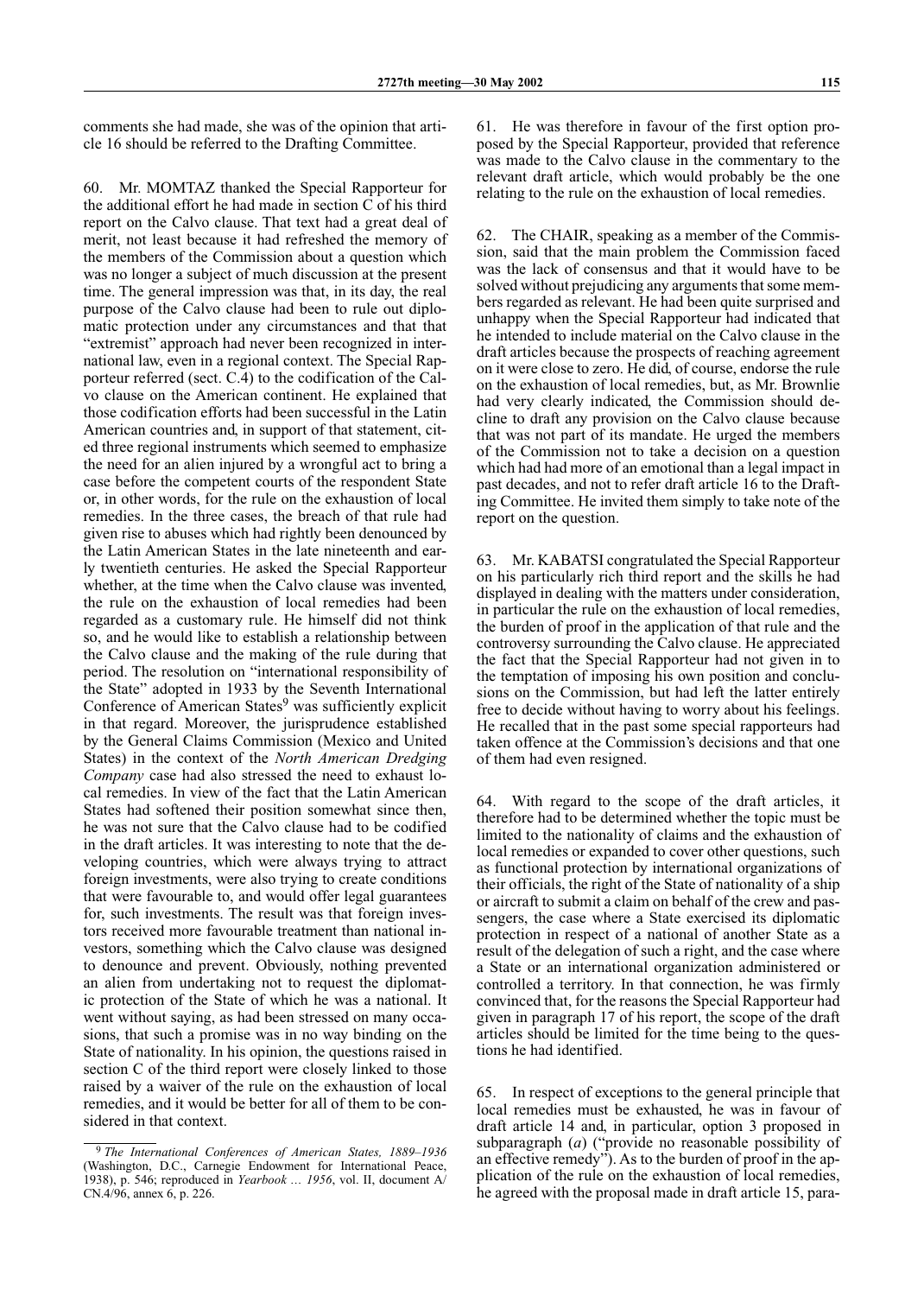comments she had made, she was of the opinion that article 16 should be referred to the Drafting Committee.

60. Mr. MOMTAZ thanked the Special Rapporteur for the additional effort he had made in section C of his third report on the Calvo clause. That text had a great deal of merit, not least because it had refreshed the memory of the members of the Commission about a question which was no longer a subject of much discussion at the present time. The general impression was that, in its day, the real purpose of the Calvo clause had been to rule out diplomatic protection under any circumstances and that that "extremist" approach had never been recognized in international law, even in a regional context. The Special Rapporteur referred (sect. C.4) to the codification of the Calvo clause on the American continent. He explained that those codification efforts had been successful in the Latin American countries and, in support of that statement, cited three regional instruments which seemed to emphasize the need for an alien injured by a wrongful act to bring a case before the competent courts of the respondent State or, in other words, for the rule on the exhaustion of local remedies. In the three cases, the breach of that rule had given rise to abuses which had rightly been denounced by the Latin American States in the late nineteenth and early twentieth centuries. He asked the Special Rapporteur whether, at the time when the Calvo clause was invented, the rule on the exhaustion of local remedies had been regarded as a customary rule. He himself did not think so, and he would like to establish a relationship between the Calvo clause and the making of the rule during that period. The resolution on "international responsibility of the State" adopted in 1933 by the Seventh International Conference of American States<sup>9</sup> was sufficiently explicit in that regard. Moreover, the jurisprudence established by the General Claims Commission (Mexico and United States) in the context of the *North American Dredging Company* case had also stressed the need to exhaust local remedies. In view of the fact that the Latin American States had softened their position somewhat since then, he was not sure that the Calvo clause had to be codified in the draft articles. It was interesting to note that the developing countries, which were always trying to attract foreign investments, were also trying to create conditions that were favourable to, and would offer legal guarantees for, such investments. The result was that foreign investors received more favourable treatment than national investors, something which the Calvo clause was designed to denounce and prevent. Obviously, nothing prevented an alien from undertaking not to request the diplomatic protection of the State of which he was a national. It went without saying, as had been stressed on many occasions, that such a promise was in no way binding on the State of nationality. In his opinion, the questions raised in section C of the third report were closely linked to those raised by a waiver of the rule on the exhaustion of local remedies, and it would be better for all of them to be considered in that context.

61. He was therefore in favour of the first option proposed by the Special Rapporteur, provided that reference was made to the Calvo clause in the commentary to the relevant draft article, which would probably be the one relating to the rule on the exhaustion of local remedies.

62. The CHAIR, speaking as a member of the Commission, said that the main problem the Commission faced was the lack of consensus and that it would have to be solved without prejudicing any arguments that some members regarded as relevant. He had been quite surprised and unhappy when the Special Rapporteur had indicated that he intended to include material on the Calvo clause in the draft articles because the prospects of reaching agreement on it were close to zero. He did, of course, endorse the rule on the exhaustion of local remedies, but, as Mr. Brownlie had very clearly indicated, the Commission should decline to draft any provision on the Calvo clause because that was not part of its mandate. He urged the members of the Commission not to take a decision on a question which had had more of an emotional than a legal impact in past decades, and not to refer draft article 16 to the Drafting Committee. He invited them simply to take note of the report on the question.

63. Mr. KABATSI congratulated the Special Rapporteur on his particularly rich third report and the skills he had displayed in dealing with the matters under consideration, in particular the rule on the exhaustion of local remedies, the burden of proof in the application of that rule and the controversy surrounding the Calvo clause. He appreciated the fact that the Special Rapporteur had not given in to the temptation of imposing his own position and conclusions on the Commission, but had left the latter entirely free to decide without having to worry about his feelings. He recalled that in the past some special rapporteurs had taken offence at the Commission's decisions and that one of them had even resigned.

64. With regard to the scope of the draft articles, it therefore had to be determined whether the topic must be limited to the nationality of claims and the exhaustion of local remedies or expanded to cover other questions, such as functional protection by international organizations of their officials, the right of the State of nationality of a ship or aircraft to submit a claim on behalf of the crew and passengers, the case where a State exercised its diplomatic protection in respect of a national of another State as a result of the delegation of such a right, and the case where a State or an international organization administered or controlled a territory. In that connection, he was firmly convinced that, for the reasons the Special Rapporteur had given in paragraph 17 of his report, the scope of the draft articles should be limited for the time being to the questions he had identified.

65. In respect of exceptions to the general principle that local remedies must be exhausted, he was in favour of draft article 14 and, in particular, option 3 proposed in subparagraph (*a*) ("provide no reasonable possibility of an effective remedy"). As to the burden of proof in the application of the rule on the exhaustion of local remedies, he agreed with the proposal made in draft article 15, para-

*The International Conferences of American States, 1889–1936* (Washington, D.C., Carnegie Endowment for International Peace, 1938), p. 546; reproduced in *Yearbook … 1956*, vol. II, document A/ CN.4/96, annex 6, p. 226.